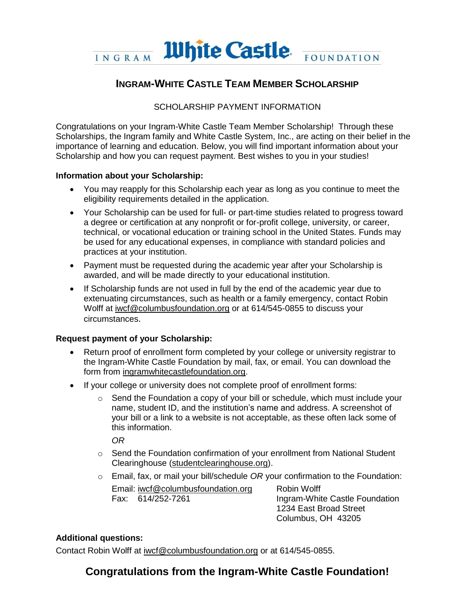

### **INGRAM-WHITE CASTLE TEAM MEMBER SCHOLARSHIP**

#### SCHOLARSHIP PAYMENT INFORMATION

Congratulations on your Ingram-White Castle Team Member Scholarship! Through these Scholarships, the Ingram family and White Castle System, Inc., are acting on their belief in the importance of learning and education. Below, you will find important information about your Scholarship and how you can request payment. Best wishes to you in your studies!

#### **Information about your Scholarship:**

- You may reapply for this Scholarship each year as long as you continue to meet the eligibility requirements detailed in the application.
- Your Scholarship can be used for full- or part-time studies related to progress toward a degree or certification at any nonprofit or for-profit college, university, or career, technical, or vocational education or training school in the United States. Funds may be used for any educational expenses, in compliance with standard policies and practices at your institution.
- Payment must be requested during the academic year after your Scholarship is awarded, and will be made directly to your educational institution.
- If Scholarship funds are not used in full by the end of the academic year due to extenuating circumstances, such as health or a family emergency, contact Robin Wolff at iwcf@columbusfoundation.org or at 614/545-0855 to discuss your circumstances.

#### **Request payment of your Scholarship:**

- Return proof of enrollment form completed by your college or university registrar to the Ingram-White Castle Foundation by mail, fax, or email. You can download the form from ingramwhitecastlefoundation.org.
- If your college or university does not complete proof of enrollment forms:
	- $\circ$  Send the Foundation a copy of your bill or schedule, which must include your name, student ID, and the institution's name and address. A screenshot of your bill or a link to a website is not acceptable, as these often lack some of this information.

*OR*

- $\circ$  Send the Foundation confirmation of your enrollment from National Student Clearinghouse (studentclearinghouse.org).
- o Email, fax, or mail your bill/schedule *OR* your confirmation to the Foundation:

Email: iwcf@columbusfoundation.org Fax: 614/252-7261

Robin Wolff Ingram-White Castle Foundation 1234 East Broad Street Columbus, OH 43205

#### **Additional questions:**

Contact Robin Wolff at iwcf@columbusfoundation.org or at 614/545-0855.

## **Congratulations from the Ingram-White Castle Foundation!**